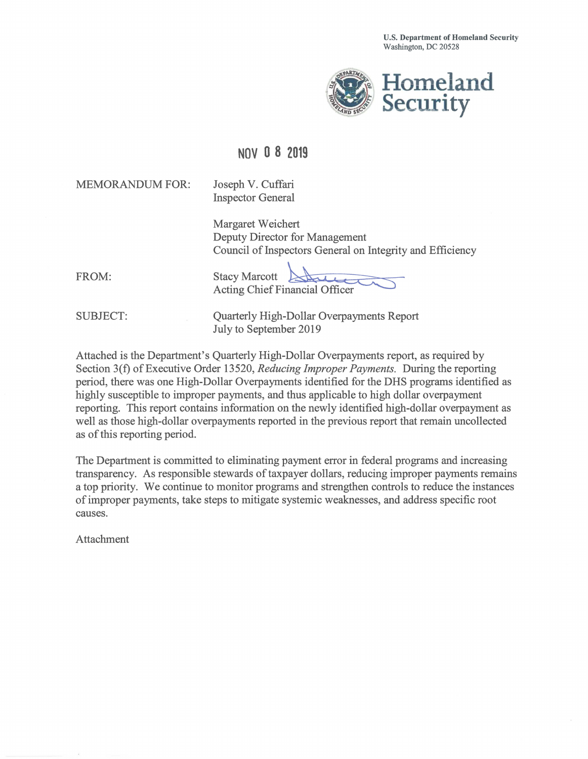

## **NOVO 8 2019**

MEMORANDUM FOR: Joseph V. Cuffari

Inspector General

Margaret Weichert Deputy Director for Management Council of Inspectors General on Integrity and Efficiency gement<br>eral on Integrity and Effici<br>ficer

FROM:

Acting Chief Financial O ffi **Stacy Marcott** 

SUBJECT: Quarterly High-Dollar Overpayments Report July to September 2019

Attached is the Department's Quarterly High-Dollar Overpayments report, as required by Section 3(f) of Executive Order 13520, *Reducing Improper Payments.* During the reporting period, there was one High-Dollar Overpayments identified for the DHS programs identified as highly susceptible to improper payments, and thus applicable to high dollar overpayment reporting. This report contains information on the newly identified high-dollar overpayment as well as those high-dollar overpayments reported in the previous report that remain uncollected as of this reporting period.

The Department is committed to eliminating payment error in federal programs and increasing transparency. As responsible stewards of taxpayer dollars, reducing improper payments remains a top priority. We continue to monitor programs and strengthen controls to reduce the instances of improper payments, take steps to mitigate systemic weaknesses, and address specific root causes.

Attachment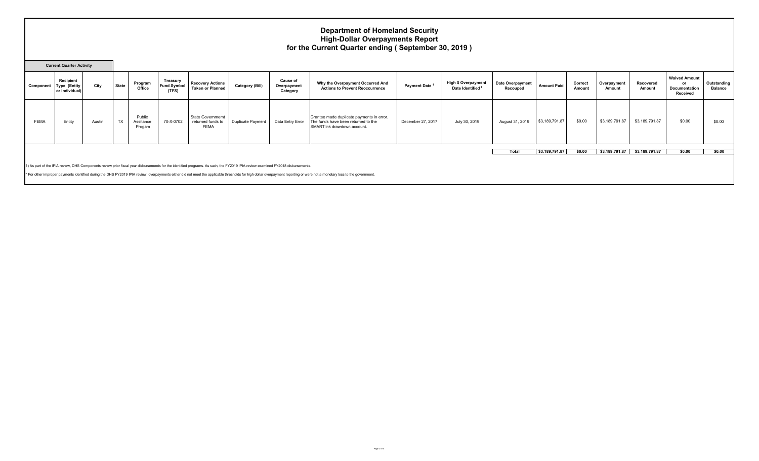## **Department of Homeland Security High-Dollar Overpayments Report for the Current Quarter ending ( September 30, 2019 )**

| <b>Current Quarter Activity</b> |                                                                                                                                                                                                                             |        |              |                               |                                         |                                                             |                          |                                            |                                                                                                                 |                           |                                               |                                     |                    |                   |                       |                     |                                                                |                               |
|---------------------------------|-----------------------------------------------------------------------------------------------------------------------------------------------------------------------------------------------------------------------------|--------|--------------|-------------------------------|-----------------------------------------|-------------------------------------------------------------|--------------------------|--------------------------------------------|-----------------------------------------------------------------------------------------------------------------|---------------------------|-----------------------------------------------|-------------------------------------|--------------------|-------------------|-----------------------|---------------------|----------------------------------------------------------------|-------------------------------|
| Component                       | Recipient<br>Type (Entity<br>or Individual)                                                                                                                                                                                 | City   | <b>State</b> | Program<br>Office             | Treasury<br><b>Fund Symbol</b><br>(TFS) | <b>Recovery Actions</b><br><b>Taken or Planned</b>          | <b>Category (Bill)</b>   | <b>Cause of</b><br>Overpayment<br>Category | Why the Overpayment Occurred And<br><b>Actions to Prevent Reoccurrence</b>                                      | Payment Date <sup>1</sup> | <b>High \$ Overpayment</b><br>Date Identified | <b>Date Overpayment</b><br>Recouped | <b>Amount Paid</b> | Correct<br>Amount | Overpayment<br>Amount | Recovered<br>Amount | <b>Waived Amount</b><br>or<br><b>Documentation</b><br>Received | Outstanding<br><b>Balance</b> |
| <b>FEMA</b>                     | Entity                                                                                                                                                                                                                      | Austin | <b>TX</b>    | Public<br>Assitance<br>Progam | 70-X-0702                               | <b>State Governmemt</b><br>returned funds to<br><b>FEMA</b> | <b>Duplicate Payment</b> | Data Entry Error                           | Grantee made duplicate payments in error.<br>The funds have been returned to the<br>SMARTlink drawdown account. | December 27, 2017         | July 30, 2019                                 | August 31, 2019                     | \$3,189,791.87     | \$0.00            | \$3,189,791.87        | \$3,189,791.87      | \$0.00                                                         | \$0.00                        |
|                                 |                                                                                                                                                                                                                             |        |              |                               |                                         |                                                             |                          |                                            |                                                                                                                 |                           |                                               | Total                               | \$3,189,791.87     | \$0.00            | \$3,189,791.87        | \$3,189,791.87      | \$0.00                                                         | \$0.00                        |
|                                 |                                                                                                                                                                                                                             |        |              |                               |                                         |                                                             |                          |                                            |                                                                                                                 |                           |                                               |                                     |                    |                   |                       |                     |                                                                |                               |
|                                 | 1) As part of the IPIA review, DHS Components review prior fiscal year disbursements for the identified programs. As such, the FY2019 IPIA review examined FY2018 disbursements.                                            |        |              |                               |                                         |                                                             |                          |                                            |                                                                                                                 |                           |                                               |                                     |                    |                   |                       |                     |                                                                |                               |
|                                 | * For other improper payments identified during the DHS FY2019 IPIA review, overpayments either did not meet the applicable thresholds for high dollar overpayment reporting or were not a monetary loss to the government. |        |              |                               |                                         |                                                             |                          |                                            |                                                                                                                 |                           |                                               |                                     |                    |                   |                       |                     |                                                                |                               |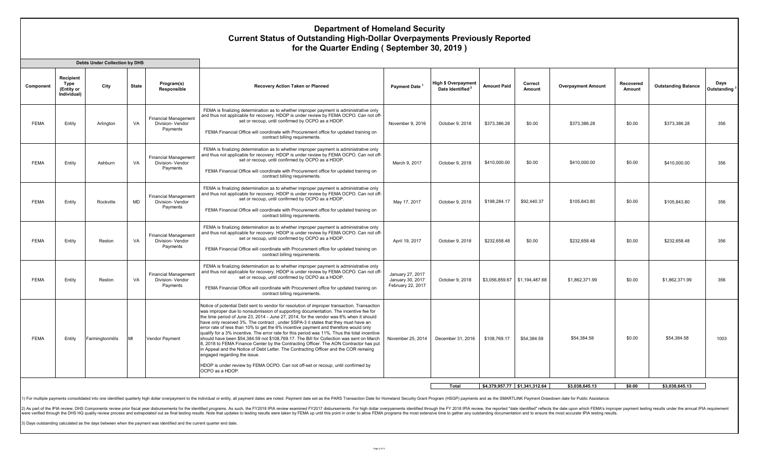## **Department of Homeland Security Current Status of Outstanding High-Dollar Overpayments Previously Reported for the Quarter Ending ( September 30, 2019 )**

|             |                                                | <b>Debts Under Collection by DHS</b> |              |                                                             |                                                                                                                                                                                                                                                                                                                                                                                                                                                                                                                                                                                                                                                                                                                                                                                                                                                                                                                                                                                 |                                                           |                                                            |                    |                               |                           |                     |                            |                                  |
|-------------|------------------------------------------------|--------------------------------------|--------------|-------------------------------------------------------------|---------------------------------------------------------------------------------------------------------------------------------------------------------------------------------------------------------------------------------------------------------------------------------------------------------------------------------------------------------------------------------------------------------------------------------------------------------------------------------------------------------------------------------------------------------------------------------------------------------------------------------------------------------------------------------------------------------------------------------------------------------------------------------------------------------------------------------------------------------------------------------------------------------------------------------------------------------------------------------|-----------------------------------------------------------|------------------------------------------------------------|--------------------|-------------------------------|---------------------------|---------------------|----------------------------|----------------------------------|
| Component   | Recipient<br>Type<br>(Entity or<br>Individual) | City                                 | <b>State</b> | Program(s)<br>Responsible                                   | Recovery Action Taken or Planned                                                                                                                                                                                                                                                                                                                                                                                                                                                                                                                                                                                                                                                                                                                                                                                                                                                                                                                                                | Payment Date                                              | <b>High \$ Overpayment</b><br>Date Identified <sup>2</sup> | <b>Amount Paid</b> | Correct<br><b>Amount</b>      | <b>Overpayment Amount</b> | Recovered<br>Amount | <b>Outstanding Balance</b> | Days<br>Outstanding <sup>3</sup> |
| <b>FEMA</b> | Entity                                         | Arlinaton                            | VA           | <b>Financial Management</b><br>Division- Vendor<br>Payments | FEMA is finalizing determination as to whether improper payment is administrative only<br>and thus not applicable for recovery. HDOP is under review by FEMA OCPO. Can not off-<br>set or recoup, until confirmed by OCPO as a HDOP.<br>FEMA Financial Office will coordinate with Procurement office for updated training on<br>contract billing requirements.                                                                                                                                                                                                                                                                                                                                                                                                                                                                                                                                                                                                                 | November 9, 2016                                          | October 9, 2018                                            | \$373.386.28       | \$0.00                        | \$373,386.28              | \$0.00              | \$373,386.28               | 356                              |
| <b>FEMA</b> | Entity                                         | Ashburn                              | VA           | <b>Financial Management</b><br>Division- Vendor<br>Payments | FEMA is finalizing determination as to whether improper payment is administrative only<br>and thus not applicable for recovery. HDOP is under review by FEMA OCPO. Can not off-<br>set or recoup, until confirmed by OCPO as a HDOP.<br>FEMA Financial Office will coordinate with Procurement office for updated training on<br>contract billing requirements.                                                                                                                                                                                                                                                                                                                                                                                                                                                                                                                                                                                                                 | March 9, 2017                                             | October 9, 2018                                            | \$410,000.00       | \$0.00                        | \$410,000.00              | \$0.00              | \$410,000.00               | 356                              |
| <b>FEMA</b> | Entity                                         | Rockville                            | <b>MD</b>    | <b>Financial Management</b><br>Division-Vendor<br>Payments  | FEMA is finalizing determination as to whether improper payment is administrative only<br>and thus not applicable for recovery. HDOP is under review by FEMA OCPO. Can not off-<br>set or recoup, until confirmed by OCPO as a HDOP.<br>FEMA Financial Office will coordinate with Procurement office for updated training on<br>contract billing requirements.                                                                                                                                                                                                                                                                                                                                                                                                                                                                                                                                                                                                                 | May 17, 2017                                              | October 9, 2018                                            | \$198,284.17       | \$92,440.37                   | \$105,843.80              | \$0.00              | \$105,843.80               | 356                              |
| <b>FEMA</b> | Entity                                         | Reston                               | VA           | <b>Financial Management</b><br>Division- Vendor<br>Payments | FEMA is finalizing determination as to whether improper payment is administrative only<br>and thus not applicable for recovery. HDOP is under review by FEMA OCPO. Can not off-<br>set or recoup, until confirmed by OCPO as a HDOP.<br>FEMA Financial Office will coordinate with Procurement office for updated training on<br>contract billing requirements.                                                                                                                                                                                                                                                                                                                                                                                                                                                                                                                                                                                                                 | April 19, 2017                                            | October 9, 2018                                            | \$232,658.48       | \$0.00                        | \$232,658.48              | \$0.00              | \$232.658.48               | 356                              |
| <b>FEMA</b> | Entity                                         | Reston                               | VA           | <b>Financial Management</b><br>Division- Vendor<br>Payments | FEMA is finalizing determination as to whether improper payment is administrative only<br>and thus not applicable for recovery. HDOP is under review by FEMA OCPO. Can not off-<br>set or recoup, until confirmed by OCPO as a HDOP.<br>FEMA Financial Office will coordinate with Procurement office for updated training on<br>contract billing requirements.                                                                                                                                                                                                                                                                                                                                                                                                                                                                                                                                                                                                                 | January 27, 2017<br>January 30, 2017<br>February 22, 2017 | October 9, 2018                                            |                    | \$3,056,859.67 \$1,194,487.68 | \$1,862,371.99            | \$0.00              | \$1,862,371.99             | 356                              |
| <b>FEMA</b> | Entity                                         | Farmingtonmills                      | M            | Vendor Pavment                                              | Notice of potential Debt sent to vendor for resolution of improper transaction. Transaction<br>was improper due to nonsubmission of supporting documentation. The incentive fee for<br>the time period of June 23, 2014 - June 27, 2014, for the vendor was 6% when it should<br>have only received 3%. The contract, under SSPA-3 it states that they must have an<br>error rate of less than 10% to get the 6% incentive payment and therefore would only<br>qualify for a 3% incentive. The error rate for this period was 11%. Thus the total incentive<br>should have been \$54,384.59 not \$108,769.17. The Bill for Collection was sent on March<br>8. 2018 to FEMA Finance Center by the Contracting Officer. The AON Contractor has put<br>in Appeal and the Notice of Debt Letter. The Contracting Officer and the COR remaing<br>engaged regarding the issue.<br>HDOP is under review by FEMA OCPO. Can not off-set or recoup, until confirmed by<br>OCPO as a HDOP. | November 25, 2014                                         | December 31, 2016                                          | \$108,769.17       | \$54,384.59                   | \$54.384.58               | \$0.00              | \$54.384.58                | 1003                             |
|             |                                                |                                      |              |                                                             |                                                                                                                                                                                                                                                                                                                                                                                                                                                                                                                                                                                                                                                                                                                                                                                                                                                                                                                                                                                 |                                                           |                                                            |                    | \$4.379.957.77 \$1.341.312.64 | \$3.038.645.13            | \$0.00              | \$3.038.645.13             |                                  |
|             |                                                |                                      |              |                                                             |                                                                                                                                                                                                                                                                                                                                                                                                                                                                                                                                                                                                                                                                                                                                                                                                                                                                                                                                                                                 |                                                           | Total                                                      |                    |                               |                           |                     |                            |                                  |

1) For multiple payments consolidated into one identified quarterly high dollar overpayment to the individual or entity, all payment dates are noted. Payment dates ser as the PARS Transaction Date for Homeland Security Gra

2) As part of the IPIA review, DHS Components review prior fiscal year disbursements for the identified programs. As such, the FY2018 IPIA review examined FY2017 disbursements. For high dollar overpyaments identified throu were verified through the DHS HQ quality review process and extrapolated out as final testing results. Note that updates to testing results were taken by FEMA up until this point in order to allow FEMA programs the most ex

3) Days outstanding calculated as the days between when the payment was identified and the current quarter end date.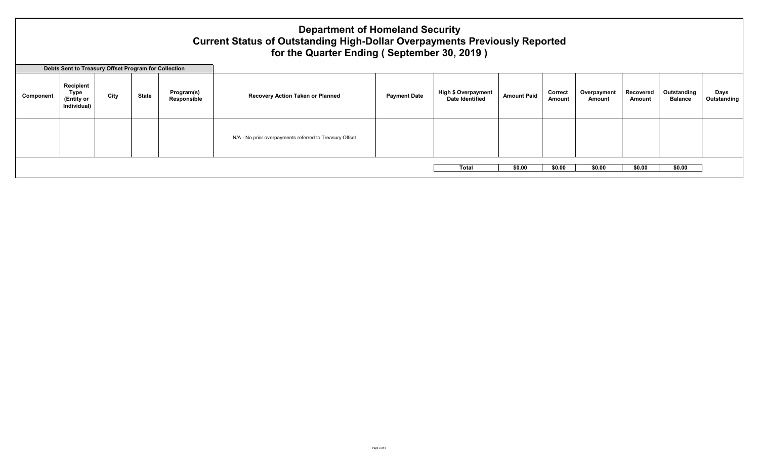## **Department of Homeland Security Current Status of Outstanding High-Dollar Overpayments Previously Reported for the Quarter Ending ( September 30, 2019 )**

**Days Outstanding**

**Component Recipient Type (Entity or Individual) City** State **Program(s) Responsible Recovery Action Taken or Planned Payment Date Payment Date Payment Date Page 1 High \$ Overpayment Amount Paid Correct Amount Overpayment Amount Recovered Amount Outstanding Balance**  N/A - No prior overpayments referred to Treasury Offset **Total \$0.00 \$0.00 \$0.00 \$0.00 \$0.00 Debts Sent to Treasury Offset Program for Collection**